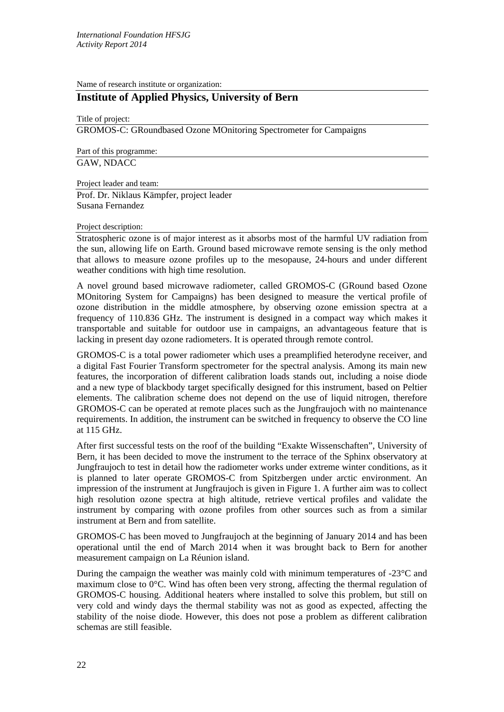Name of research institute or organization:

# **Institute of Applied Physics, University of Bern**

Title of project:

GROMOS-C: GRoundbased Ozone MOnitoring Spectrometer for Campaigns

Part of this programme: GAW, NDACC

Project leader and team:

Prof. Dr. Niklaus Kämpfer, project leader Susana Fernandez

#### Project description:

Stratospheric ozone is of major interest as it absorbs most of the harmful UV radiation from the sun, allowing life on Earth. Ground based microwave remote sensing is the only method that allows to measure ozone profiles up to the mesopause, 24-hours and under different weather conditions with high time resolution.

A novel ground based microwave radiometer, called GROMOS-C (GRound based Ozone MOnitoring System for Campaigns) has been designed to measure the vertical profile of ozone distribution in the middle atmosphere, by observing ozone emission spectra at a frequency of 110.836 GHz. The instrument is designed in a compact way which makes it transportable and suitable for outdoor use in campaigns, an advantageous feature that is lacking in present day ozone radiometers. It is operated through remote control.

GROMOS-C is a total power radiometer which uses a preamplified heterodyne receiver, and a digital Fast Fourier Transform spectrometer for the spectral analysis. Among its main new features, the incorporation of different calibration loads stands out, including a noise diode and a new type of blackbody target specifically designed for this instrument, based on Peltier elements. The calibration scheme does not depend on the use of liquid nitrogen, therefore GROMOS-C can be operated at remote places such as the Jungfraujoch with no maintenance requirements. In addition, the instrument can be switched in frequency to observe the CO line at 115 GHz.

After first successful tests on the roof of the building "Exakte Wissenschaften", University of Bern, it has been decided to move the instrument to the terrace of the Sphinx observatory at Jungfraujoch to test in detail how the radiometer works under extreme winter conditions, as it is planned to later operate GROMOS-C from Spitzbergen under arctic environment. An impression of the instrument at Jungfraujoch is given in Figure 1. A further aim was to collect high resolution ozone spectra at high altitude, retrieve vertical profiles and validate the instrument by comparing with ozone profiles from other sources such as from a similar instrument at Bern and from satellite.

GROMOS-C has been moved to Jungfraujoch at the beginning of January 2014 and has been operational until the end of March 2014 when it was brought back to Bern for another measurement campaign on La Réunion island.

During the campaign the weather was mainly cold with minimum temperatures of -23°C and maximum close to  $0^{\circ}$ C. Wind has often been very strong, affecting the thermal regulation of GROMOS-C housing. Additional heaters where installed to solve this problem, but still on very cold and windy days the thermal stability was not as good as expected, affecting the stability of the noise diode. However, this does not pose a problem as different calibration schemas are still feasible.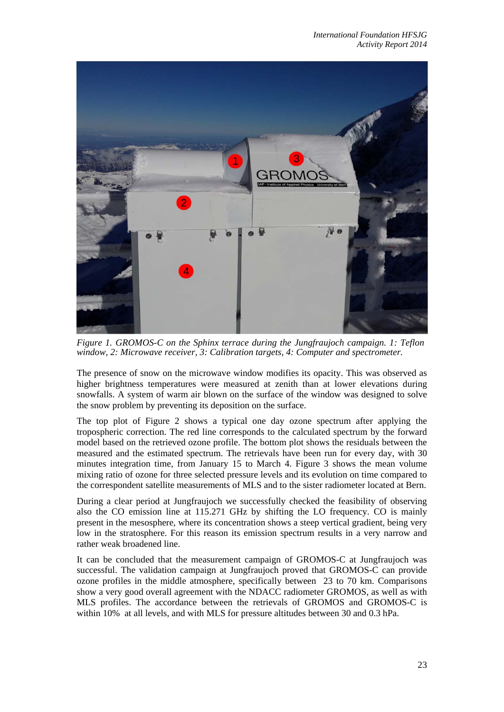

*Figure 1. GROMOS-C on the Sphinx terrace during the Jungfraujoch campaign. 1: Teflon window, 2: Microwave receiver, 3: Calibration targets, 4: Computer and spectrometer.* 

The presence of snow on the microwave window modifies its opacity. This was observed as higher brightness temperatures were measured at zenith than at lower elevations during snowfalls. A system of warm air blown on the surface of the window was designed to solve the snow problem by preventing its deposition on the surface.

The top plot of Figure 2 shows a typical one day ozone spectrum after applying the tropospheric correction. The red line corresponds to the calculated spectrum by the forward model based on the retrieved ozone profile. The bottom plot shows the residuals between the measured and the estimated spectrum. The retrievals have been run for every day, with 30 minutes integration time, from January 15 to March 4. Figure 3 shows the mean volume mixing ratio of ozone for three selected pressure levels and its evolution on time compared to the correspondent satellite measurements of MLS and to the sister radiometer located at Bern.

During a clear period at Jungfraujoch we successfully checked the feasibility of observing also the CO emission line at 115.271 GHz by shifting the LO frequency. CO is mainly present in the mesosphere, where its concentration shows a steep vertical gradient, being very low in the stratosphere. For this reason its emission spectrum results in a very narrow and rather weak broadened line.

It can be concluded that the measurement campaign of GROMOS-C at Jungfraujoch was successful. The validation campaign at Jungfraujoch proved that GROMOS-C can provide ozone profiles in the middle atmosphere, specifically between 23 to 70 km. Comparisons show a very good overall agreement with the NDACC radiometer GROMOS, as well as with MLS profiles. The accordance between the retrievals of GROMOS and GROMOS-C is within 10% at all levels, and with MLS for pressure altitudes between 30 and 0.3 hPa.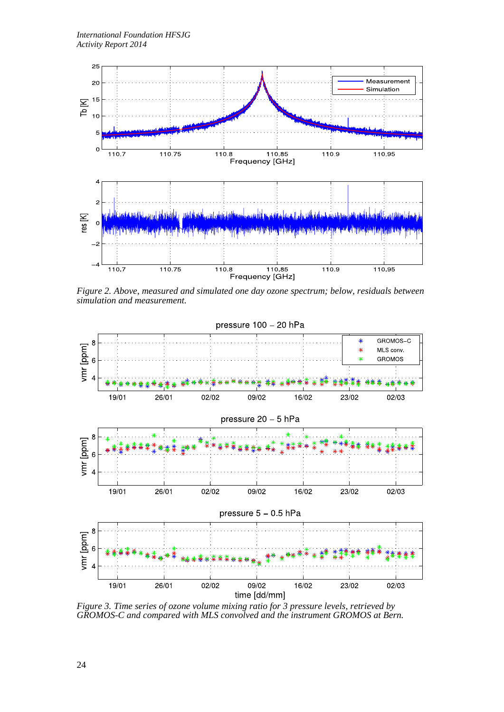

*Figure 2. Above, measured and simulated one day ozone spectrum; below, residuals between simulation and measurement.*



*Figure 3. Time series of ozone volume mixing ratio for 3 pressure levels, retrieved by GROMOS-C and compared with MLS convolved and the instrument GROMOS at Bern.*